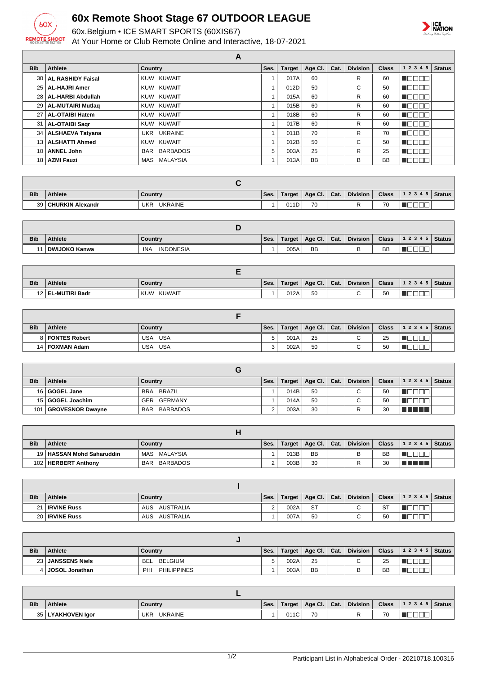

## **60x Remote Shoot Stage 67 OUTDOOR LEAGUE**

60x.Belgium • ICE SMART SPORTS (60XIS67)

At Your Home or Club Remote Online and Interactive, 18-07-2021



|                 |                        |                | A    |               |           |      |                 |              |               |               |
|-----------------|------------------------|----------------|------|---------------|-----------|------|-----------------|--------------|---------------|---------------|
| <b>Bib</b>      | Athlete                | <b>Country</b> | Ses. | <b>Target</b> | Age Cl.   | Cat. | <b>Division</b> | <b>Class</b> | 1 2 3 4 5     | <b>Status</b> |
|                 | 30   AL RASHIDY Faisal | KUW KUWAIT     |      | 017A          | 60        |      | R               | 60           | U 800 E       |               |
|                 | 25   AL-HAJRI Amer     | KUW KUWAIT     |      | 012D          | 50        |      | C               | 50           | Annoc         |               |
|                 | 28   AL-HARBI Abdullah | KUW KUWAIT     |      | 015A          | 60        |      | R               | 60           | NG BE         |               |
|                 | 29   AL-MUTAIRI Mutlag | KUW KUWAIT     |      | 015B          | 60        |      | R               | 60           | <b>NGC OL</b> |               |
|                 | 27   AL-OTAIBI Hatem   | KUW KUWAIT     |      | 018B          | 60        |      | R               | 60           | N DE EL       |               |
|                 | 31   AL-OTAIBI Sagr    | KUW KUWAIT     |      | 017B          | 60        |      | R               | 60           | NO WEI        |               |
|                 | 34   ALSHAEVA Tatyana  | UKR UKRAINE    |      | 011B          | 70        |      | R               | 70           | N BIBEL       |               |
|                 | 13   ALSHATTI Ahmed    | KUW KUWAIT     |      | 012B          | 50        |      | C               | 50           | <b>NGC OL</b> |               |
| 10 <sup>1</sup> | <b>ANNEL John</b>      | BAR BARBADOS   | 5    | 003A          | 25        |      | R               | 25           | N DE EL       |               |
|                 | 18   AZMI Fauzi        | MAS MALAYSIA   |      | 013A          | <b>BB</b> |      | B               | <b>BB</b>    | Maja sa       |               |

| <b>Bib</b> | <b>Athlete</b>      | Country               | Ses. | Target | Age Cl. | Cat. | <b>Division</b> | <b>Class</b> | 12345 | <b>Status</b> |
|------------|---------------------|-----------------------|------|--------|---------|------|-----------------|--------------|-------|---------------|
|            | 39 CHURKIN Alexandr | <b>UKRAINE</b><br>UKR |      | 011D   | 70      |      | -               | 70           |       |               |

| <b>Bib</b> | <b>Athlete</b>       | Country                 | Ses. | Target | Age CI.   | Cat. | <b>Division</b> | <b>Class</b> | 12345 | ∣ Status I |
|------------|----------------------|-------------------------|------|--------|-----------|------|-----------------|--------------|-------|------------|
|            | <b>DWIJOKO Kanwa</b> | <b>INDONESIA</b><br>INA |      | 005A   | <b>BB</b> |      |                 | <b>BB</b>    |       |            |

| <b>Bib</b> | <b>Athlete</b>      | Country              | Ses. | Target | Age Cl. | Cat. | <b>Division</b> | <b>Class</b> | 1 2 3 4 5   Status |  |
|------------|---------------------|----------------------|------|--------|---------|------|-----------------|--------------|--------------------|--|
|            | 12   EL-MUTIRI Badr | <b>KUWAIT</b><br>KUW |      | 012A   | 50      |      |                 | 50           |                    |  |

| <b>Bib</b> | <b>Athlete</b>    | Country    | Ses. | Target | Age Cl.   Cat. | <b>Division</b> | <b>Class</b> | $ 12345 $ Status |  |
|------------|-------------------|------------|------|--------|----------------|-----------------|--------------|------------------|--|
|            | 8   FONTES Robert | USA<br>USA |      | 001A   | 25             | $\sim$          | 25           |                  |  |
|            | 14   FOXMAN Adam  | USA<br>USA |      | 002A   | 50             | $\sim$          | 50           |                  |  |

| <b>Bib</b> | Athlete          | Country                | Ses. | <b>Target</b> | Age Cl. $ $ | Cat. | <b>Division</b> | <b>Class</b> | $12345$ Status |  |
|------------|------------------|------------------------|------|---------------|-------------|------|-----------------|--------------|----------------|--|
|            | 16 GOGEL Jane    | BRA BRAZIL             |      | 014B          | 50          |      | C.              | 50           |                |  |
|            | 15 GOGEL Joachim | GER GERMANY            |      | 014A          | 50          |      | ⌒               | 50           |                |  |
| 101        | GROVESNOR Dwayne | BARBADOS<br><b>BAR</b> |      | 003A          | 30          |      |                 | 30           | T FI FI FI FI  |  |

| <b>Bib</b> | Athlete                     | Country                | Ses. | Target | Age Cl.   Cat. | Division | <b>Class</b> | $12345$ Status |  |
|------------|-----------------------------|------------------------|------|--------|----------------|----------|--------------|----------------|--|
|            | 19   HASSAN Mohd Saharuddin | MAS MALAYSIA           |      | 013B   | <b>BB</b>      |          | <b>BB</b>    |                |  |
|            | 102   HERBERT Anthony       | BARBADOS<br><b>BAR</b> |      | 003B   | 30             |          | 30           | T FIFTI TILL   |  |

| <b>Bib</b> | Athlete          | Country       | Ses. | Target | $\vert$ Age Cl. $\vert$ Cat. | <b>Division</b> | <b>Class</b>  | $12345$ Status |  |
|------------|------------------|---------------|------|--------|------------------------------|-----------------|---------------|----------------|--|
| 21         | 1   IRVINE Russ  | AUS AUSTRALIA |      | 002A   | <b>ST</b>                    | $\sim$          | $\sim$<br>ا ت |                |  |
|            | 20   IRVINE Russ | AUS AUSTRALIA |      | 007A   | 50                           | $\sim$          | 50            |                |  |

| <b>Bib</b> | <b>Athlete</b>        | Country                   | Ses. | Target | Age Cl.   | Cat. | <b>Division</b> | <b>Class</b> | 1 2 3 4 5   Status |  |
|------------|-----------------------|---------------------------|------|--------|-----------|------|-----------------|--------------|--------------------|--|
| $23 \mid$  | <b>JANSSENS Niels</b> | BELGIUM<br><b>BEL</b>     |      | 002A   | 25        |      | ⌒               | 25           |                    |  |
|            | JOSOL Jonathan        | <b>PHILIPPINES</b><br>PHI |      | 003A   | <b>BB</b> |      |                 | <b>BB</b>    |                    |  |

| <b>Bib</b> | <b>Athlete</b> | Country                      | Ses. | Target | Age CI. | Cat. | <b>Division</b> | <b>Class</b>                    | 12345 | Status . |
|------------|----------------|------------------------------|------|--------|---------|------|-----------------|---------------------------------|-------|----------|
| 35         | LYAKHOVEN laor | <b>UKRAINE</b><br><b>UKR</b> |      | 011C   | 70      |      |                 | $\overline{\phantom{a}}$<br>70. |       |          |